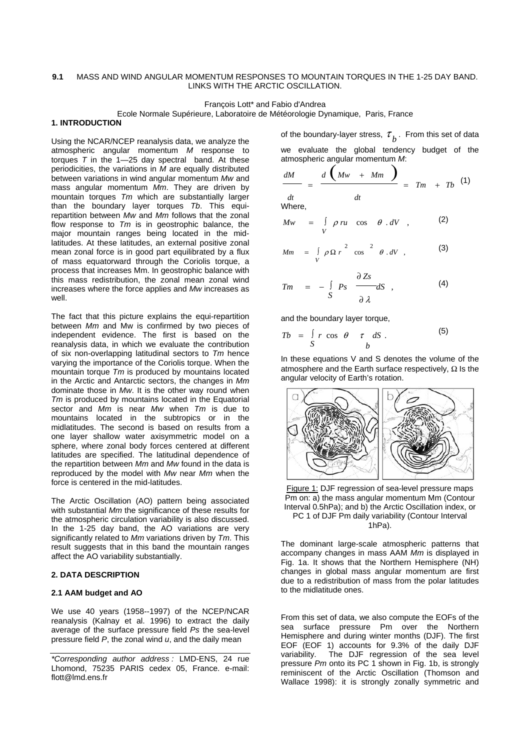# **9.1** MASS AND WIND ANGULAR MOMENTUM RESPONSES TO MOUNTAIN TORQUES IN THE 1-25 DAY BAND. LINKS WITH THE ARCTIC OSCILLATION.

François Lott\* and Fabio d'Andrea

Ecole Normale Supérieure, Laboratoire de Météorologie Dynamique, Paris, France

# **1. INTRODUCTION**

Using the NCAR/NCEP reanalysis data, we analyze the atmospheric angular momentum *M* response to torques  $T$  in the  $1-25$  day spectral band. At these periodicities, the variations in *M* are equally distributed between variations in wind angular momentum *Mw* and mass angular momentum *Mm*. They are driven by mountain torques *Tm* which are substantially larger than the boundary layer torques *Tb*. This equirepartition between *Mw* and *Mm* follows that the zonal flow response to *Tm* is in geostrophic balance, the major mountain ranges being located in the midlatitudes. At these latitudes, an external positive zonal mean zonal force is in good part equilibrated by a flux of mass equatorward through the Coriolis torque, a process that increases Mm. In geostrophic balance with this mass redistribution, the zonal mean zonal wind increases where the force applies and *Mw* increases as well.

The fact that this picture explains the equi-repartition between *Mm* and Mw is confirmed by two pieces of independent evidence. The first is based on the reanalysis data, in which we evaluate the contribution of six non-overlapping latitudinal sectors to *Tm* hence varying the importance of the Coriolis torque. When the mountain torque *Tm* is produced by mountains located in the Arctic and Antarctic sectors, the changes in *Mm* dominate those in *Mw*. It is the other way round when *Tm* is produced by mountains located in the Equatorial sector and *Mm* is near *Mw* when *Tm* is due to mountains located in the subtropics or in the midlatitudes. The second is based on results from a one layer shallow water axisymmetric model on a sphere, where zonal body forces centered at different latitudes are specified. The latitudinal dependence of the repartition between *Mm* and *Mw* found in the data is reproduced by the model with *Mw* near *Mm* when the force is centered in the mid-latitudes.

The Arctic Oscillation (AO) pattern being associated with substantial *Mm* the significance of these results for the atmospheric circulation variability is also discussed. In the 1-25 day band, the AO variations are very significantly related to *Mm* variations driven by *Tm*. This result suggests that in this band the mountain ranges affect the AO variability substantially.

# **2. DATA DESCRIPTION**

### **2.1 AAM budget and AO**

We use 40 years (1958--1997) of the NCEP/NCAR reanalysis (Kalnay et al. 1996) to extract the daily average of the surface pressure field *Ps* the sea-level pressure field *P*, the zonal wind *u*, and the daily mean

of the boundary-layer stress,  $\tau_{h}$ . From this set of data

we evaluate the global tendency budget of the

atmospheric angular momentum *M*:  
\n
$$
\frac{dM}{dt} = \frac{d}{dt} \left( \frac{Mw + Mm}{dt} \right) = Tm + Tb
$$
\n(1)

Where,

$$
Mw = \int\limits_V \rho \, ru \cos \theta \, dV \quad , \tag{2}
$$

$$
Mm = \int\limits_V \rho \Omega r^2 \cos^2 \theta .dV , \qquad (3)
$$

$$
Tm = -\int_{S} P_{S} \frac{\partial Z_{S}}{\partial \lambda} dS , \qquad (4)
$$

and the boundary layer torque,

$$
Tb = \int_{S} r \cos \theta \quad \tau \quad dS \ . \tag{5}
$$

In these equations V and S denotes the volume of the atmosphere and the Earth surface respectively, Ω Is the angular velocity of Earth's rotation.





The dominant large-scale atmospheric patterns that accompany changes in mass AAM *Mm* is displayed in Fig. 1a. It shows that the Northern Hemisphere (NH) changes in global mass angular momentum are first due to a redistribution of mass from the polar latitudes to the midlatitude ones.

From this set of data, we also compute the EOFs of the sea surface pressure Pm over the Northern Hemisphere and during winter months (DJF). The first EOF (EOF 1) accounts for 9.3% of the daily DJF variability. The DJF regression of the sea level pressure *Pm* onto its PC 1 shown in Fig. 1b, is strongly reminiscent of the Arctic Oscillation (Thomson and Wallace 1998): it is strongly zonally symmetric and

*<sup>\*</sup>Corresponding author address :* LMD-ENS, 24 rue Lhomond, 75235 PARIS cedex 05, France. e-mail: flott@lmd.ens.fr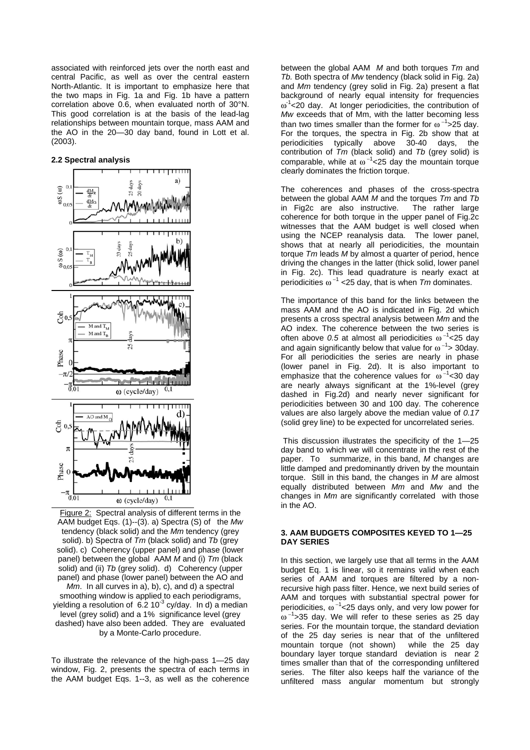associated with reinforced jets over the north east and central Pacific, as well as over the central eastern North-Atlantic. It is important to emphasize here that the two maps in Fig. 1a and Fig. 1b have a pattern correlation above 0.6, when evaluated north of 30°N. This good correlation is at the basis of the lead-lag relationships between mountain torque, mass AAM and the AO in the 20—30 day band, found in Lott et al. (2003).

## **2.2 Spectral analysis**



Figure 2: Spectral analysis of different terms in the AAM budget Eqs. (1)--(3). a) Spectra (S) of the *Mw* tendency (black solid) and the *Mm* tendency (grey solid). b) Spectra of *Tm* (black solid) and *Tb* (grey solid). c) Coherency (upper panel) and phase (lower panel) between the global AAM *M* and (i) *Tm* (black solid) and (ii) *Tb* (grey solid). d) Coherency (upper panel) and phase (lower panel) between the AO and *Mm*. In all curves in a), b), c), and d) a spectral smoothing window is applied to each periodigrams, yielding a resolution of 6.2 10<sup>-3</sup> cy/day. In d) a median level (grey solid) and a 1% significance level (grey dashed) have also been added. They are evaluated by a Monte-Carlo procedure.

To illustrate the relevance of the high-pass 1—25 day window, Fig. 2, presents the spectra of each terms in the AAM budget Eqs. 1--3, as well as the coherence between the global AAM *M* and both torques *Tm* and *Tb.* Both spectra of *Mw* tendency (black solid in Fig. 2a) and *Mm* tendency (grey solid in Fig. 2a) present a flat background of nearly equal intensity for frequencies  $\omega^1$  < 20 day. At longer periodicities, the contribution of *Mw* exceeds that of Mm, with the latter becoming less than two times smaller than the former for  $\omega^{-1}$ >25 day. For the torques, the spectra in Fig. 2b show that at periodicities typically above 30-40 days, the contribution of *Tm* (black solid) and *Tb* (grey solid) is comparable, while at  $\omega^{-1}$ <25 day the mountain torque clearly dominates the friction torque.

The coherences and phases of the cross-spectra between the global AAM *M* and the torques *Tm* and *Tb* in Fig2c are also instructive. The rather large coherence for both torque in the upper panel of Fig.2c witnesses that the AAM budget is well closed when using the NCEP reanalysis data. The lower panel, shows that at nearly all periodicities, the mountain torque *Tm* leads *M* by almost a quarter of period, hence driving the changes in the latter (thick solid, lower panel in Fig. 2c). This lead quadrature is nearly exact at periodicities ω <sup>−</sup><sup>1</sup> <25 day, that is when *Tm* dominates.

The importance of this band for the links between the mass AAM and the AO is indicated in Fig. 2d which presents a cross spectral analysis between *Mm* and the AO index. The coherence between the two series is often above *0.5* at almost all periodicities ω<sup>-1</sup><25 day and again significantly below that value for  $\omega^{-1}$ > 30day. For all periodicities the series are nearly in phase (lower panel in Fig. 2d). It is also important to emphasize that the coherence values for  $\omega^{-1}$ <30 day are nearly always significant at the 1%-level (grey dashed in Fig.2d) and nearly never significant for periodicities between 30 and 100 day. The coherence values are also largely above the median value of *0.17* (solid grey line) to be expected for uncorrelated series.

 This discussion illustrates the specificity of the 1—25 day band to which we will concentrate in the rest of the paper. To summarize, in this band, *M* changes are little damped and predominantly driven by the mountain torque. Still in this band, the changes in *M* are almost equally distributed between *Mm* and *Mw* and the changes in *Mm* are significantly correlated with those in the AO.

## **3. AAM BUDGETS COMPOSITES KEYED TO 1—25 DAY SERIES**

In this section, we largely use that all terms in the AAM budget Eq. 1 is linear, so it remains valid when each series of AAM and torques are filtered by a nonrecursive high pass filter. Hence, we next build series of AAM and torques with substantial spectral power for periodicities,  $\omega^{-1}$ <25 days only, and very low power for  $\omega^{-1}$ >35 day. We will refer to these series as 25 day series. For the mountain torque, the standard deviation of the 25 day series is near that of the unfiltered mountain torque (not shown) while the 25 day boundary layer torque standard deviation is near 2 times smaller than that of the corresponding unfiltered series. The filter also keeps half the variance of the unfiltered mass angular momentum but strongly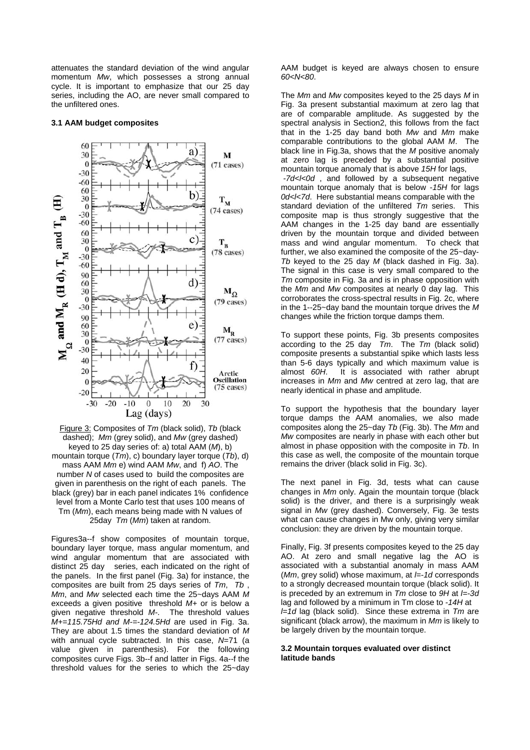attenuates the standard deviation of the wind angular momentum *Mw*, which possesses a strong annual cycle. It is important to emphasize that our 25 day series, including the AO, are never small compared to the unfiltered ones.

## **3.1 AAM budget composites**



Figure 3: Composites of *Tm* (black solid), *Tb* (black dashed); *Mm* (grey solid), and *Mw* (grey dashed) keyed to 25 day series of: a) total AAM (*M*), b) mountain torque (*Tm*), c) boundary layer torque (*Tb*), d) mass AAM *Mm* e) wind AAM *Mw*, and f) *AO*. The number *N* of cases used to build the composites are given in parenthesis on the right of each panels. The black (grey) bar in each panel indicates 1% confidence level from a Monte Carlo test that uses 100 means of Tm (*Mm*), each means being made with N values of 25day *Tm* (*Mm*) taken at random.

Figures3a--f show composites of mountain torque, boundary layer torque, mass angular momentum, and wind angular momentum that are associated with distinct 25 day series, each indicated on the right of the panels. In the first panel (Fig. 3a) for instance, the composites are built from 25 days series of *Tm*, *Tb* , *Mm*, and *Mw* selected each time the 25~days AAM *M* exceeds a given positive threshold *M+* or is below a given negative threshold *M-*. The threshold values *M+=115.75Hd and M-=-124.5Hd* are used in Fig. 3a. They are about 1.5 times the standard deviation of *M* with annual cycle subtracted. In this case, *N*=71 (a value given in parenthesis). For the following composites curve Figs. 3b--f and latter in Figs. 4a--f the threshold values for the series to which the 25~day AAM budget is keyed are always chosen to ensure *60<N<80*.

The *Mm* and *Mw* composites keyed to the 25 days *M* in Fig. 3a present substantial maximum at zero lag that are of comparable amplitude. As suggested by the spectral analysis in Section2, this follows from the fact that in the 1-25 day band both *Mw* and *Mm* make comparable contributions to the global AAM *M*. The black line in Fig.3a, shows that the *M* positive anomaly at zero lag is preceded by a substantial positive mountain torque anomaly that is above *15H* for lags, *-7d<l<0d* , and followed by a subsequent negative mountain torque anomaly that is below -*15H* for lags *0d<l<7d*. Here substantial means comparable with the standard deviation of the unfiltered *Tm* series. This composite map is thus strongly suggestive that the AAM changes in the 1-25 day band are essentially driven by the mountain torque and divided between mass and wind angular momentum. To check that further, we also examined the composite of the 25~day-*Tb* keyed to the 25 day *M* (black dashed in Fig. 3a). The signal in this case is very small compared to the *Tm* composite in Fig. 3a and is in phase opposition with the *Mm* and *Mw* composites at nearly 0 day lag. This corroborates the cross-spectral results in Fig. 2c, where in the 1--25~day band the mountain torque drives the *M*

To support these points, Fig. 3b presents composites according to the 25 day *Tm*. The *Tm* (black solid) composite presents a substantial spike which lasts less than 5-6 days typically and which maximum value is almost *60H*. It is associated with rather abrupt increases in *Mm* and *Mw* centred at zero lag, that are nearly identical in phase and amplitude.

changes while the friction torque damps them.

To support the hypothesis that the boundary layer torque damps the AAM anomalies, we also made composites along the 25~day *Tb* (Fig. 3b). The *Mm* and *Mw* composites are nearly in phase with each other but almost in phase opposition with the composite in *Tb*. In this case as well, the composite of the mountain torque remains the driver (black solid in Fig. 3c).

The next panel in Fig. 3d, tests what can cause changes in *Mm* only. Again the mountain torque (black solid) is the driver, and there is a surprisingly weak signal in *Mw* (grey dashed). Conversely, Fig. 3e tests what can cause changes in Mw only, giving very similar conclusion: they are driven by the mountain torque.

Finally, Fig. 3f presents composites keyed to the 25 day AO. At zero and small negative lag the AO is associated with a substantial anomaly in mass AAM (*Mm*, grey solid) whose maximum, at *l=-1d* corresponds to a strongly decreased mountain torque (black solid). It is preceded by an extremum in *Tm* close to *9H* at *l=-3d* lag and followed by a minimum in Tm close to *-14H* at *l=1d* lag (black solid). Since these extrema in *Tm* are significant (black arrow), the maximum in *Mm* is likely to be largely driven by the mountain torque.

## **3.2 Mountain torques evaluated over distinct latitude bands**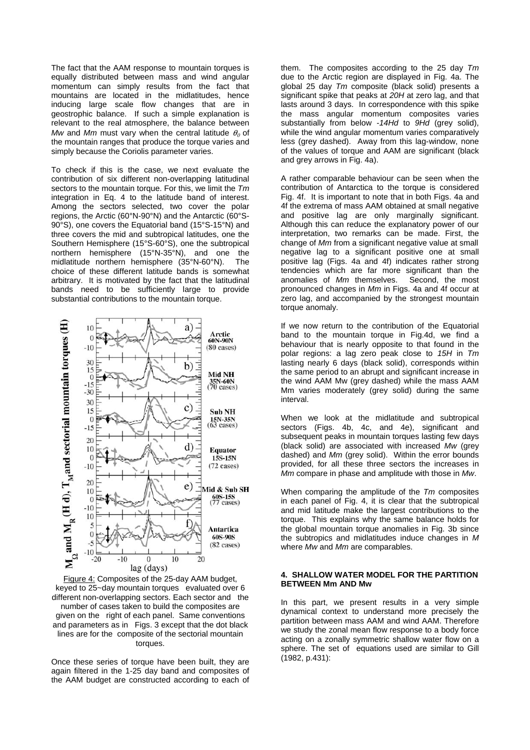The fact that the AAM response to mountain torques is equally distributed between mass and wind angular momentum can simply results from the fact that mountains are located in the midlatitudes, hence inducing large scale flow changes that are in geostrophic balance. If such a simple explanation is relevant to the real atmosphere, the balance between *Mw* and *Mm* must vary when the central latitude  $\theta_0$  of the mountain ranges that produce the torque varies and simply because the Coriolis parameter varies.

To check if this is the case, we next evaluate the contribution of six different non-overlapping latitudinal sectors to the mountain torque. For this, we limit the *Tm* integration in Eq. 4 to the latitude band of interest. Among the sectors selected, two cover the polar regions, the Arctic (60°N-90°N) and the Antarctic (60°S-90°S), one covers the Equatorial band (15°S-15°N) and three covers the mid and subtropical latitudes, one the Southern Hemisphere (15°S-60°S), one the subtropical northern hemisphere (15°N-35°N), and one the midlatitude northern hemisphere (35°N-60°N). The choice of these different latitude bands is somewhat arbitrary. It is motivated by the fact that the latitudinal bands need to be sufficiently large to provide substantial contributions to the mountain torque.



Figure 4: Composites of the 25-day AAM budget, keyed to 25~day mountain torques evaluated over 6 different non-overlapping sectors. Each sector and the number of cases taken to build the composites are given on the right of each panel. Same conventions and parameters as in Figs. 3 except that the dot black lines are for the composite of the sectorial mountain torques.

Once these series of torque have been built, they are again filtered in the 1-25 day band and composites of the AAM budget are constructed according to each of them. The composites according to the 25 day *Tm* due to the Arctic region are displayed in Fig. 4a. The global 25 day *Tm* composite (black solid) presents a significant spike that peaks at *20H* at zero lag, and that lasts around 3 days. In correspondence with this spike the mass angular momentum composites varies substantially from below *-14Hd* to *9Hd* (grey solid), while the wind angular momentum varies comparatively less (grey dashed). Away from this lag-window, none of the values of torque and AAM are significant (black and grey arrows in Fig. 4a).

A rather comparable behaviour can be seen when the contribution of Antarctica to the torque is considered Fig. 4f. It is important to note that in both Figs. 4a and 4f the extrema of mass AAM obtained at small negative and positive lag are only marginally significant. Although this can reduce the explanatory power of our interpretation, two remarks can be made. First, the change of *Mm* from a significant negative value at small negative lag to a significant positive one at small positive lag (Figs. 4a and 4f) indicates rather strong tendencies which are far more significant than the anomalies of *Mm* themselves. Second, the most pronounced changes in *Mm* in Figs. 4a and 4f occur at zero lag, and accompanied by the strongest mountain torque anomaly.

If we now return to the contribution of the Equatorial band to the mountain torque in Fig.4d, we find a behaviour that is nearly opposite to that found in the polar regions: a lag zero peak close to *15H* in *Tm* lasting nearly 6 days (black solid), corresponds within the same period to an abrupt and significant increase in the wind AAM Mw (grey dashed) while the mass AAM Mm varies moderately (grey solid) during the same interval.

When we look at the midlatitude and subtropical sectors (Figs. 4b, 4c, and 4e), significant and subsequent peaks in mountain torques lasting few days (black solid) are associated with increased *Mw* (grey dashed) and *Mm* (grey solid). Within the error bounds provided, for all these three sectors the increases in *Mm* compare in phase and amplitude with those in *Mw*.

When comparing the amplitude of the *Tm* composites in each panel of Fig. 4, it is clear that the subtropical and mid latitude make the largest contributions to the torque. This explains why the same balance holds for the global mountain torque anomalies in Fig. 3b since the subtropics and midlatitudes induce changes in *M* where *Mw* and *Mm* are comparables.

#### **4. SHALLOW WATER MODEL FOR THE PARTITION BETWEEN Mm AND Mw**

In this part, we present results in a very simple dynamical context to understand more precisely the partition between mass AAM and wind AAM. Therefore we study the zonal mean flow response to a body force acting on a zonally symmetric shallow water flow on a sphere. The set of equations used are similar to Gill (1982, p.431):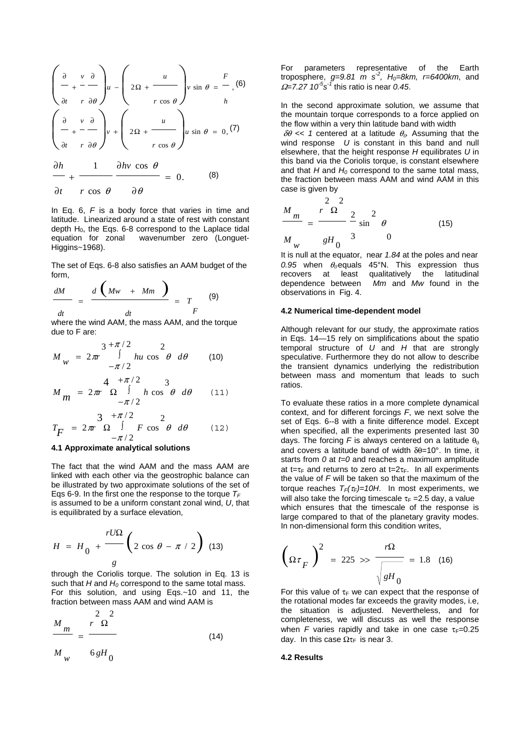$$
\left(\begin{array}{ccc}\n\frac{\partial}{\partial t} & v & \frac{\partial}{\partial t} \\
v & \frac{\partial}{\partial t} & -\frac{\partial}{\partial t} \\
\frac{\partial}{\partial t} & v & \frac{\partial}{\partial t}\n\end{array}\right)u - \left(2\Omega + \frac{u}{r\cos\theta}\right)v \sin\theta = \frac{F}{h} (6)
$$
\n
$$
\left(\begin{array}{ccc}\n\frac{\partial}{\partial t} & v & \frac{\partial}{\partial t} \\
v & \frac{\partial}{\partial t} & -\frac{\partial}{\partial t} \\
\frac{\partial}{\partial t} & v & \frac{\partial}{\partial t} \\
\frac{\partial}{\partial t} & v & \frac{\partial}{\partial t} \\
\frac{\partial}{\partial t} & v & \frac{\partial}{\partial t} \\
\frac{\partial}{\partial t} & v & \frac{\partial}{\partial t} \\
\frac{\partial}{\partial t} & v & \frac{\partial}{\partial t} \\
\frac{\partial}{\partial t} & v & \frac{\partial}{\partial t} \\
\frac{\partial}{\partial t} & v & \frac{\partial}{\partial t} \\
\frac{\partial}{\partial t} & v & \frac{\partial}{\partial t} \\
\frac{\partial}{\partial t} & v & \frac{\partial}{\partial t} \\
\frac{\partial}{\partial t} & v & \frac{\partial}{\partial t} \\
\frac{\partial}{\partial t} & v & \frac{\partial}{\partial t} \\
\frac{\partial}{\partial t} & v & \frac{\partial}{\partial t} \\
\frac{\partial}{\partial t} & v & \frac{\partial}{\partial t} \\
\frac{\partial}{\partial t} & v & \frac{\partial}{\partial t} \\
\frac{\partial}{\partial t} & v & \frac{\partial}{\partial t} \\
\frac{\partial}{\partial t} & v & \frac{\partial}{\partial t} \\
\frac{\partial}{\partial t} & v & \frac{\partial}{\partial t} \\
\frac{\partial}{\partial t} & v & \frac{\partial}{\partial t} \\
\frac{\partial}{\partial t} & v & \frac{\partial}{\partial t} \\
\frac{\partial}{\partial t} & v & \frac{\partial}{\partial t} \\
\frac{\partial}{\partial t} & v & \frac{\partial}{\partial t} \\
\frac{\partial}{\partial t} & v & \frac{\partial}{\partial t} \\
\frac{\partial}{\partial t} & v & \frac{\partial}{\partial t} \\
\frac{\partial}{\partial t} & v & \frac{\partial}{\partial t} \\
\frac{\partial}{\partial t} & v & \frac{\partial}{\partial t} \\
\frac{\partial}{\partial t} & v & \frac{\partial}{\partial t} \\
\frac{\partial
$$

In Eq. 6, *F* is a body force that varies in time and latitude. Linearized around a state of rest with constant depth  $H_0$ , the Eqs. 6-8 correspond to the Laplace tidal equation for zonal wavenumber zero (Longuet-Higgins~1968).

The set of Eqs. 6-8 also satisfies an AAM budget of the form,

$$
\frac{dM}{dt} = \frac{d\left(Mw + Mm\right)}{dt} = T
$$
 (9)

where the wind AAM, the mass AAM, and the torque due to F are:

$$
M_{W} = 2\pi r \int_{-\pi/2}^{3+\pi/2} h u \cos^{2} \theta \ d\theta
$$
 (10)  

$$
M_{m} = 2\pi r \Omega \int_{-\pi/2}^{4+\pi/2} h \cos^{2} \theta \ d\theta
$$
 (11)

$$
T_F = 2\pi r \frac{3}{\Omega} + \frac{\pi/2}{\pi/2} F \cos^2 \theta \ d\theta \qquad (12)
$$

#### **4.1 Approximate analytical solutions**

The fact that the wind AAM and the mass AAM are linked with each other via the geostrophic balance can be illustrated by two approximate solutions of the set of Eqs 6-9. In the first one the response to the torque  $T_F$ is assumed to be a uniform constant zonal wind, *U*, that is equilibrated by a surface elevation,

$$
H = H_0 + \frac{rU\Omega}{g} \left(2 \cos \theta - \pi / 2\right)
$$
 (13)

through the Coriolis torque. The solution in Eq. 13 is such that  $H$  and  $H_0$  correspond to the same total mass. For this solution, and using Eqs.~10 and 11, the fraction between mass AAM and wind AAM is

$$
\frac{M_m}{M_w} = \frac{r^2 \Omega^2}{6gH_0}
$$
\n(14)

For parameters representative of the Earth troposphere, *g*=9.81 m s<sup>-2</sup>, H<sub>0</sub>=8km, r=6400km, and <sup>Ω</sup>*=7.27 10-5s-1* this ratio is near *0.45*.

In the second approximate solution, we assume that the mountain torque corresponds to a force applied on the flow within a very thin latitude band with width

 $\delta\theta \ll 1$  centered at a latitude  $\theta_0$ . Assuming that the wind response *U* is constant in this band and null elsewhere, that the height response *H* equilibrates *U* in this band via the Coriolis torque, is constant elsewhere and that  $H$  and  $H_0$  correspond to the same total mass, the fraction between mass AAM and wind AAM in this case is given by

$$
\frac{M_m}{M_w} = \frac{r^2 \Omega^2}{gH_0^3} \frac{2}{3} \sin^2 \theta
$$
\n(15)

It is null at the equator, near *1.84* at the poles and near  $0.95$  when  $\theta_0$  equals 45°N. This expression thus recovers at least qualitatively the latitudinal dependence between *Mm* and *Mw* found in the observations in Fig. 4.

#### **4.2 Numerical time-dependent model**

Although relevant for our study, the approximate ratios in Eqs. 14—15 rely on simplifications about the spatio temporal structure of *U* and *H* that are strongly speculative. Furthermore they do not allow to describe the transient dynamics underlying the redistribution between mass and momentum that leads to such ratios.

To evaluate these ratios in a more complete dynamical context, and for different forcings *F*, we next solve the set of Eqs. 6--8 with a finite difference model. Except when specified, all the experiments presented last 30 days. The forcing *F* is always centered on a latitude  $\theta_0$ and covers a latitude band of width  $\delta\theta$ =10°. In time, it starts from *0* at *t=0* and reaches a maximum amplitude at t=τ<sub>F</sub> and returns to zero at t=2τ<sub>F</sub>. In all experiments the value of *F* will be taken so that the maximum of the torque reaches  $T_F(\tau_F)=10H$ . In most experiments, we will also take the forcing timescale  $\tau_F = 2.5$  day, a value which ensures that the timescale of the response is large compared to that of the planetary gravity modes. In non-dimensional form this condition writes,

$$
\left(\Omega \tau \right)^2 = 225 \gg \frac{r\Omega}{\sqrt{gH_0}} = 1.8 \quad (16)
$$

For this value of  $\tau_F$  we can expect that the response of the rotational modes far exceeds the gravity modes, i.e, the situation is adjusted. Nevertheless, and for completeness, we will discuss as well the response when *F* varies rapidly and take in one case  $\tau_F = 0.25$ day. In this case  $\Omega$ τ<sub>F</sub> is near 3.

# **4.2 Results**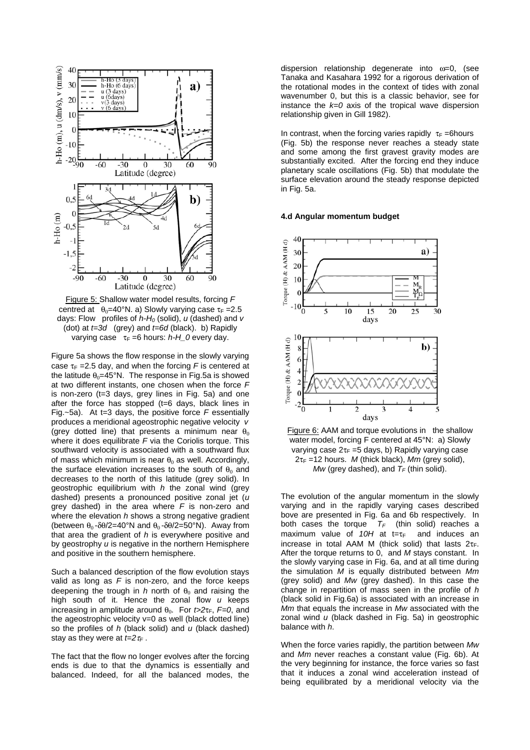

Figure 5: Shallow water model results, forcing *F* centred at  $\theta_0 = 40^\circ N$ . a) Slowly varying case  $\tau_F = 2.5$ days: Flow profiles of *h-H0* (solid), *u* (dashed) and *v* (dot) at *t=3d* (grey) and *t=6d* (black). b) Rapidly varying case τ<sub>F</sub> =6 hours: *h-H\_0* every day.

Figure 5a shows the flow response in the slowly varying case  $\tau_F$  =2.5 day, and when the forcing *F* is centered at the latitude  $\theta_0 = 45^\circ N$ . The response in Fig.5a is showed at two different instants, one chosen when the force *F* is non-zero (t=3 days, grey lines in Fig. 5a) and one after the force has stopped (t=6 days, black lines in Fig.~5a). At t=3 days, the positive force *F* essentially produces a meridional ageostrophic negative velocity *v* (grey dotted line) that presents a minimum near  $\theta_0$ where it does equilibrate *F* via the Coriolis torque. This southward velocity is associated with a southward flux of mass which minimum is near  $\theta_0$  as well. Accordingly, the surface elevation increases to the south of  $\theta_0$  and decreases to the north of this latitude (grey solid). In geostrophic equilibrium with *h* the zonal wind (grey dashed) presents a pronounced positive zonal jet (*u* grey dashed) in the area where *F* is non-zero and where the elevation *h* shows a strong negative gradient (between  $\theta_0 - \delta\theta/2 = 40^\circ N$  and  $\theta_0 - \delta\theta/2 = 50^\circ N$ ). Away from that area the gradient of *h* is everywhere positive and by geostrophy *u* is negative in the northern Hemisphere and positive in the southern hemisphere.

Such a balanced description of the flow evolution stays valid as long as *F* is non-zero, and the force keeps deepening the trough in  $h$  north of  $\theta_0$  and raising the high south of it. Hence the zonal flow *u* keeps increasing in amplitude around  $\theta_0$ . For  $t > 2\tau_F$ ,  $F=0$ , and the ageostrophic velocity v=0 as well (black dotted line) so the profiles of *h* (black solid) and *u* (black dashed) stay as they were at  $t=2\tau_F$ .

The fact that the flow no longer evolves after the forcing ends is due to that the dynamics is essentially and balanced. Indeed, for all the balanced modes, the dispersion relationship degenerate into ω=0, (see Tanaka and Kasahara 1992 for a rigorous derivation of the rotational modes in the context of tides with zonal wavenumber 0, but this is a classic behavior, see for instance the *k=0* axis of the tropical wave dispersion relationship given in Gill 1982).

In contrast, when the forcing varies rapidly  $\tau_F$  =6hours (Fig. 5b) the response never reaches a steady state and some among the first gravest gravity modes are substantially excited. After the forcing end they induce planetary scale oscillations (Fig. 5b) that modulate the surface elevation around the steady response depicted in Fig. 5a.

#### **4.d Angular momentum budget**



Figure 6: AAM and torque evolutions in the shallow water model, forcing F centered at 45°N: a) Slowly varying case  $2\tau_F = 5$  days, b) Rapidly varying case  $2\tau_F$  =12 hours. *M* (thick black), *Mm* (grey solid), *Mw* (grey dashed), and  $T_F$  (thin solid).

The evolution of the angular momentum in the slowly varying and in the rapidly varying cases described bove are presented in Fig. 6a and 6b respectively. In both cases the torque  $T_F$  (thin solid) reaches a maximum value of 10H at t=τ<sub>F</sub> and induces an increase in total AAM M (thick solid) that lasts  $2\tau_F$ . After the torque returns to 0, and *M* stays constant. In the slowly varying case in Fig. 6a, and at all time during the simulation *M* is equally distributed between *Mm* (grey solid) and *Mw* (grey dashed). In this case the change in repartition of mass seen in the profile of *h* (black solid in Fig.6a) is associated with an increase in *Mm* that equals the increase in *Mw* associated with the zonal wind *u* (black dashed in Fig. 5a) in geostrophic balance with *h*.

When the force varies rapidly, the partition between *Mw* and *Mm* never reaches a constant value (Fig. 6b). At the very beginning for instance, the force varies so fast that it induces a zonal wind acceleration instead of being equilibrated by a meridional velocity via the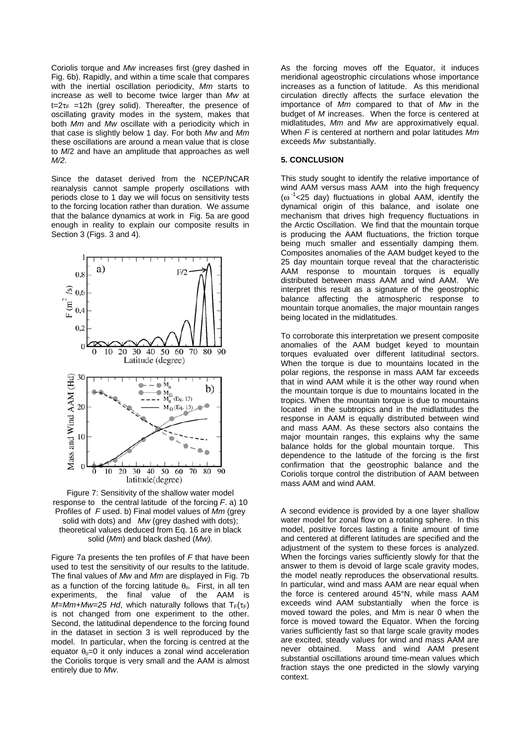Coriolis torque and *Mw* increases first (grey dashed in Fig. 6b). Rapidly, and within a time scale that compares with the inertial oscillation periodicity, *Mm* starts to increase as well to become twice larger than *Mw* at  $t=2\tau_F$  =12h (grey solid). Thereafter, the presence of oscillating gravity modes in the system, makes that both *Mm* and *Mw* oscillate with a periodicity which in that case is slightly below 1 day. For both *Mw* and *Mm* these oscillations are around a mean value that is close to *M*/2 and have an amplitude that approaches as well *M/2*.

Since the dataset derived from the NCEP/NCAR reanalysis cannot sample properly oscillations with periods close to 1 day we will focus on sensitivity tests to the forcing location rather than duration. We assume that the balance dynamics at work in Fig. 5a are good enough in reality to explain our composite results in Section 3 (Figs. 3 and 4).



Figure 7: Sensitivity of the shallow water model response to the central latitude of the forcing *F*. a) 10 Profiles of *F* used. b) Final model values of *Mm* (grey solid with dots) and *Mw* (grey dashed with dots); theoretical values deduced from Eq. 16 are in black solid (*Mm*) and black dashed (*Mw).*

Figure 7a presents the ten profiles of *F* that have been used to test the sensitivity of our results to the latitude. The final values of *Mw* and *Mm* are displayed in Fig. 7b as a function of the forcing latitude  $\theta_0$ . First, in all ten experiments, the final value of the AAM is  $M=Mm+Mw=25$  Hd, which naturally follows that  $T_F(\tau_F)$ is not changed from one experiment to the other. Second, the latitudinal dependence to the forcing found in the dataset in section 3 is well reproduced by the model. In particular, when the forcing is centred at the equator  $\theta_0=0$  it only induces a zonal wind acceleration the Coriolis torque is very small and the AAM is almost entirely due to *Mw*.

As the forcing moves off the Equator, it induces meridional ageostrophic circulations whose importance increases as a function of latitude. As this meridional circulation directly affects the surface elevation the importance of *Mm* compared to that of *Mw* in the budget of *M* increases. When the force is centered at midlatitudes, *Mm* and *Mw* are approximatively equal. When *F* is centered at northern and polar latitudes *Mm* exceeds *Mw* substantially.

# **5. CONCLUSION**

This study sought to identify the relative importance of wind AAM versus mass AAM into the high frequency  $(\omega^{-1}$  <25 day) fluctuations in global AAM, identify the dynamical origin of this balance, and isolate one mechanism that drives high frequency fluctuations in the Arctic Oscillation. We find that the mountain torque is producing the AAM fluctuations, the friction torque being much smaller and essentially damping them. Composites anomalies of the AAM budget keyed to the 25 day mountain torque reveal that the characteristic AAM response to mountain torques is equally distributed between mass AAM and wind AAM. We interpret this result as a signature of the geostrophic balance affecting the atmospheric response to mountain torque anomalies, the major mountain ranges being located in the midlatitudes.

To corroborate this interpretation we present composite anomalies of the AAM budget keyed to mountain torques evaluated over different latitudinal sectors. When the torque is due to mountains located in the polar regions, the response in mass AAM far exceeds that in wind AAM while it is the other way round when the mountain torque is due to mountains located in the tropics. When the mountain torque is due to mountains located in the subtropics and in the midlatitudes the response in AAM is equally distributed between wind and mass AAM. As these sectors also contains the major mountain ranges, this explains why the same balance holds for the global mountain torque. This dependence to the latitude of the forcing is the first confirmation that the geostrophic balance and the Coriolis torque control the distribution of AAM between mass AAM and wind AAM.

A second evidence is provided by a one layer shallow water model for zonal flow on a rotating sphere. In this model, positive forces lasting a finite amount of time and centered at different latitudes are specified and the adiustment of the system to these forces is analyzed. When the forcings varies sufficiently slowly for that the answer to them is devoid of large scale gravity modes, the model neatly reproduces the observational results. In particular, wind and mass AAM are near equal when the force is centered around 45°N, while mass AAM exceeds wind AAM substantially when the force is moved toward the poles, and Mm is near 0 when the force is moved toward the Equator. When the forcing varies sufficiently fast so that large scale gravity modes are excited, steady values for wind and mass AAM are never obtained. Mass and wind AAM present substantial oscillations around time-mean values which fraction stays the one predicted in the slowly varying context.